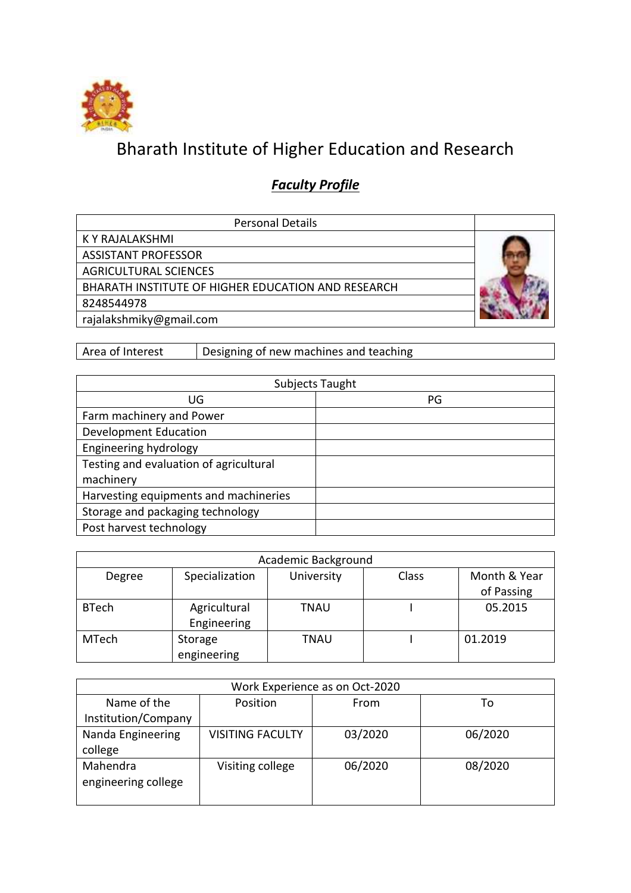

## Bharath Institute of Higher Education and Research

## *Faculty Profile*

| <b>Personal Details</b>                            |  |
|----------------------------------------------------|--|
| K Y RAJALAKSHMI                                    |  |
| <b>ASSISTANT PROFESSOR</b>                         |  |
| <b>AGRICULTURAL SCIENCES</b>                       |  |
| BHARATH INSTITUTE OF HIGHER EDUCATION AND RESEARCH |  |
| 8248544978                                         |  |
| rajalakshmiky@gmail.com                            |  |

Area of Interest Designing of new machines and teaching

|                                        | Subjects Taught |
|----------------------------------------|-----------------|
| UG                                     | PG              |
| Farm machinery and Power               |                 |
| <b>Development Education</b>           |                 |
| Engineering hydrology                  |                 |
| Testing and evaluation of agricultural |                 |
| machinery                              |                 |
| Harvesting equipments and machineries  |                 |
| Storage and packaging technology       |                 |
| Post harvest technology                |                 |

|              |                             | Academic Background |       |                            |
|--------------|-----------------------------|---------------------|-------|----------------------------|
| Degree       | Specialization              | University          | Class | Month & Year<br>of Passing |
| <b>BTech</b> | Agricultural<br>Engineering | TNAU                |       | 05.2015                    |
| <b>MTech</b> | Storage<br>engineering      | TNAU                |       | 01.2019                    |

|                                 |                         | Work Experience as on Oct-2020 |         |
|---------------------------------|-------------------------|--------------------------------|---------|
| Name of the                     | Position                | From                           | To      |
| Institution/Company             |                         |                                |         |
| Nanda Engineering<br>college    | <b>VISITING FACULTY</b> | 03/2020                        | 06/2020 |
| Mahendra<br>engineering college | Visiting college        | 06/2020                        | 08/2020 |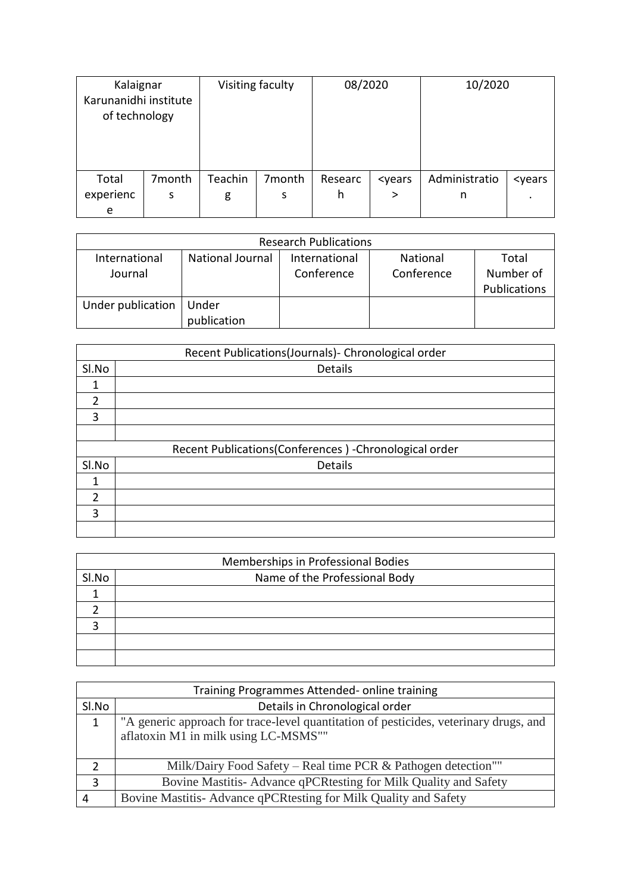| Kalaignar<br>Karunanidhi institute<br>of technology |        |         | Visiting faculty | 08/2020 |                                                                               | 10/2020       |                         |
|-----------------------------------------------------|--------|---------|------------------|---------|-------------------------------------------------------------------------------|---------------|-------------------------|
| Total                                               | 7month | Teachin | 7month           | Researc | <years< td=""><td>Administratio</td><td><years< td=""></years<></td></years<> | Administratio | <years< td=""></years<> |
| experienc                                           | s      | g       | s                | h       | >                                                                             | n             |                         |
| e                                                   |        |         |                  |         |                                                                               |               |                         |

|                   |                         | <b>Research Publications</b> |                 |              |
|-------------------|-------------------------|------------------------------|-----------------|--------------|
| International     | <b>National Journal</b> | International                | <b>National</b> | Total        |
| Journal           |                         | Conference                   | Conference      | Number of    |
|                   |                         |                              |                 | Publications |
| Under publication | Under                   |                              |                 |              |
|                   | publication             |                              |                 |              |

|                | Recent Publications(Journals)- Chronological order     |
|----------------|--------------------------------------------------------|
| SI.No          | <b>Details</b>                                         |
|                |                                                        |
| $\overline{2}$ |                                                        |
| 3              |                                                        |
|                |                                                        |
|                | Recent Publications(Conferences) - Chronological order |
| SI.No          | Details                                                |
| 1              |                                                        |
| $\overline{2}$ |                                                        |
| 3              |                                                        |
|                |                                                        |

|       | Memberships in Professional Bodies |
|-------|------------------------------------|
| Sl.No | Name of the Professional Body      |
|       |                                    |
|       |                                    |
|       |                                    |
|       |                                    |
|       |                                    |

|              | Training Programmes Attended- online training                                         |
|--------------|---------------------------------------------------------------------------------------|
| SI.No        | Details in Chronological order                                                        |
| $\mathbf{1}$ | "A generic approach for trace-level quantitation of pesticides, veterinary drugs, and |
|              | aflatoxin M1 in milk using LC-MSMS""                                                  |
|              |                                                                                       |
|              | Milk/Dairy Food Safety – Real time PCR & Pathogen detection""                         |
| 3            | Bovine Mastitis-Advance qPCRtesting for Milk Quality and Safety                       |
|              | Bovine Mastitis-Advance qPCRtesting for Milk Quality and Safety                       |